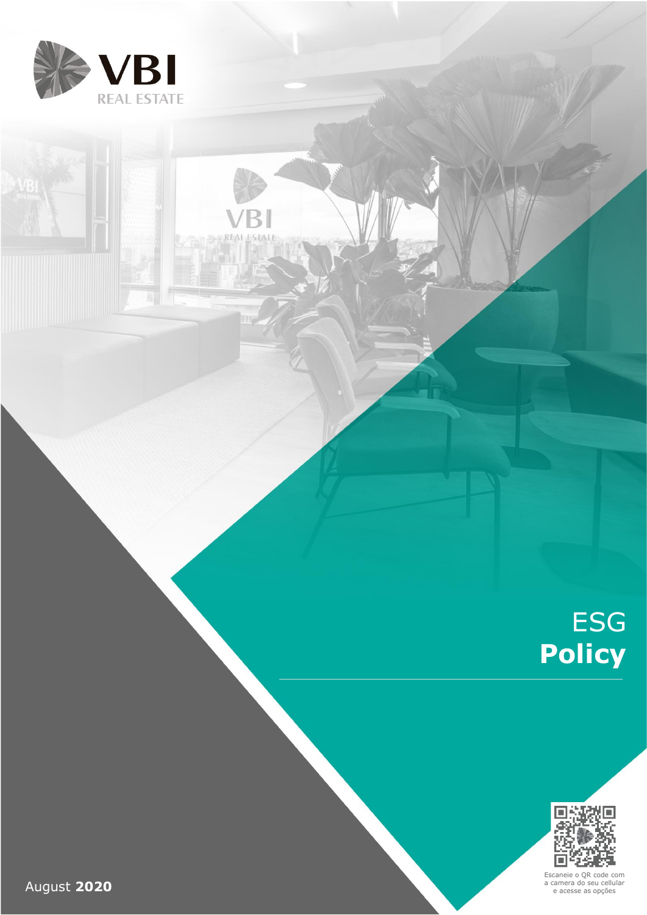

**ESTAT** 

REA

# ESG **Policy**



Escaneie o QR code com a camera do seu cellular e acesse as opções

August **2020**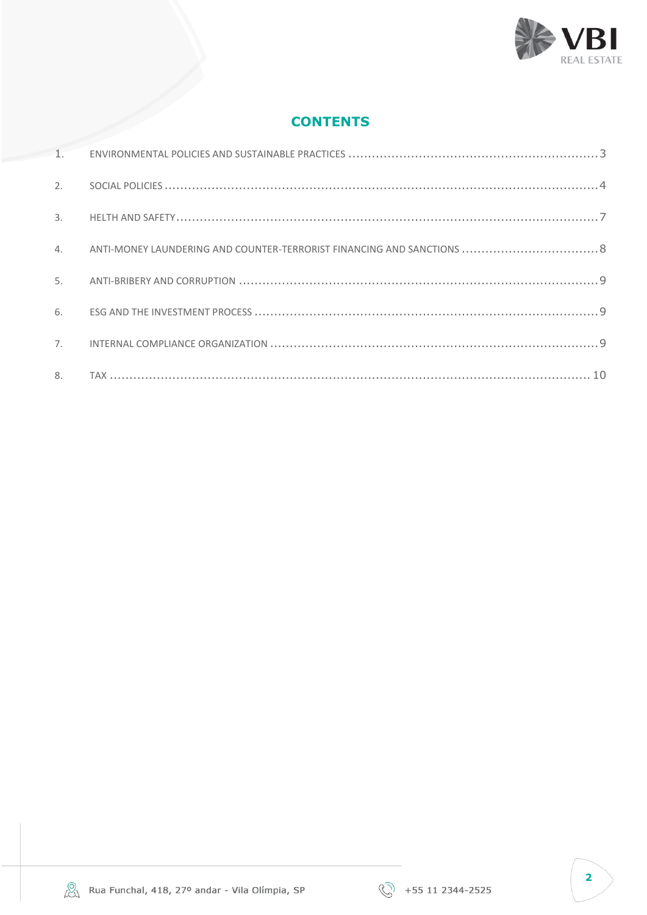

# **CONTENTS**

|               |                 | EDIA |  |
|---------------|-----------------|------|--|
|               | <b>CONTENTS</b> |      |  |
| 1.            |                 |      |  |
| 2.            |                 |      |  |
| $\mathcal{E}$ |                 |      |  |
| 4.            |                 |      |  |
| 5.            |                 |      |  |
| 6             |                 |      |  |
| 7.            |                 |      |  |
| 8.            |                 |      |  |



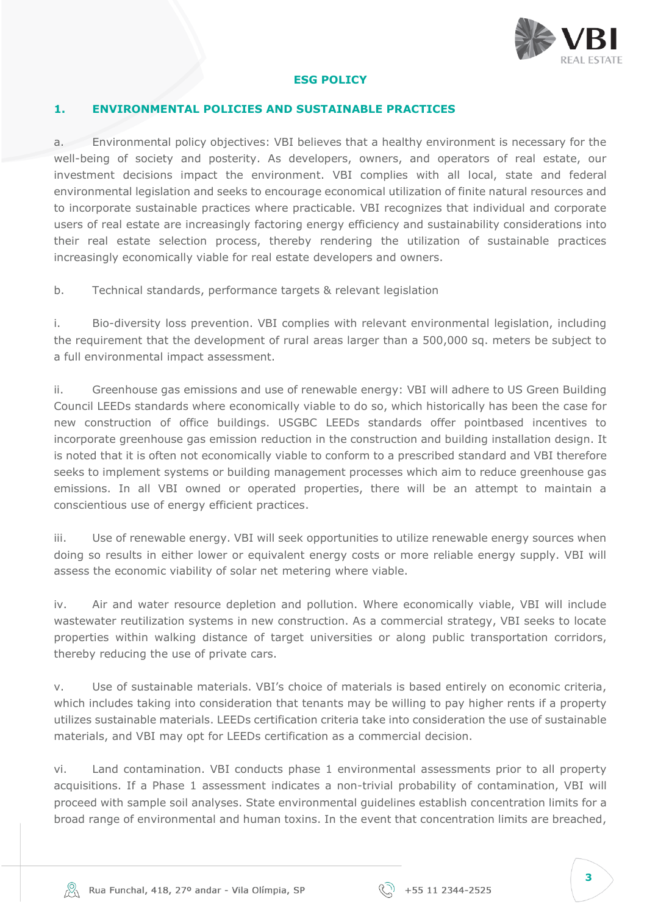

#### **ESG POLICY**

#### <span id="page-2-0"></span>**1. ENVIRONMENTAL POLICIES AND SUSTAINABLE PRACTICES**

a. Environmental policy objectives: VBI believes that a healthy environment is necessary for the well-being of society and posterity. As developers, owners, and operators of real estate, our investment decisions impact the environment. VBI complies with all local, state and federal environmental legislation and seeks to encourage economical utilization of finite natural resources and to incorporate sustainable practices where practicable. VBI recognizes that individual and corporate users of real estate are increasingly factoring energy efficiency and sustainability considerations into their real estate selection process, thereby rendering the utilization of sustainable practices increasingly economically viable for real estate developers and owners.

b. Technical standards, performance targets & relevant legislation

i. Bio-diversity loss prevention. VBI complies with relevant environmental legislation, including the requirement that the development of rural areas larger than a 500,000 sq. meters be subject to a full environmental impact assessment.

ii. Greenhouse gas emissions and use of renewable energy: VBI will adhere to US Green Building Council LEEDs standards where economically viable to do so, which historically has been the case for new construction of office buildings. USGBC LEEDs standards offer pointbased incentives to incorporate greenhouse gas emission reduction in the construction and building installation design. It is noted that it is often not economically viable to conform to a prescribed standard and VBI therefore seeks to implement systems or building management processes which aim to reduce greenhouse gas emissions. In all VBI owned or operated properties, there will be an attempt to maintain a conscientious use of energy efficient practices.

iii. Use of renewable energy. VBI will seek opportunities to utilize renewable energy sources when doing so results in either lower or equivalent energy costs or more reliable energy supply. VBI will assess the economic viability of solar net metering where viable.

iv. Air and water resource depletion and pollution. Where economically viable, VBI will include wastewater reutilization systems in new construction. As a commercial strategy, VBI seeks to locate properties within walking distance of target universities or along public transportation corridors, thereby reducing the use of private cars.

v. Use of sustainable materials. VBI's choice of materials is based entirely on economic criteria, which includes taking into consideration that tenants may be willing to pay higher rents if a property utilizes sustainable materials. LEEDs certification criteria take into consideration the use of sustainable materials, and VBI may opt for LEEDs certification as a commercial decision.

vi. Land contamination. VBI conducts phase 1 environmental assessments prior to all property acquisitions. If a Phase 1 assessment indicates a non-trivial probability of contamination, VBI will proceed with sample soil analyses. State environmental guidelines establish concentration limits for a broad range of environmental and human toxins. In the event that concentration limits are breached,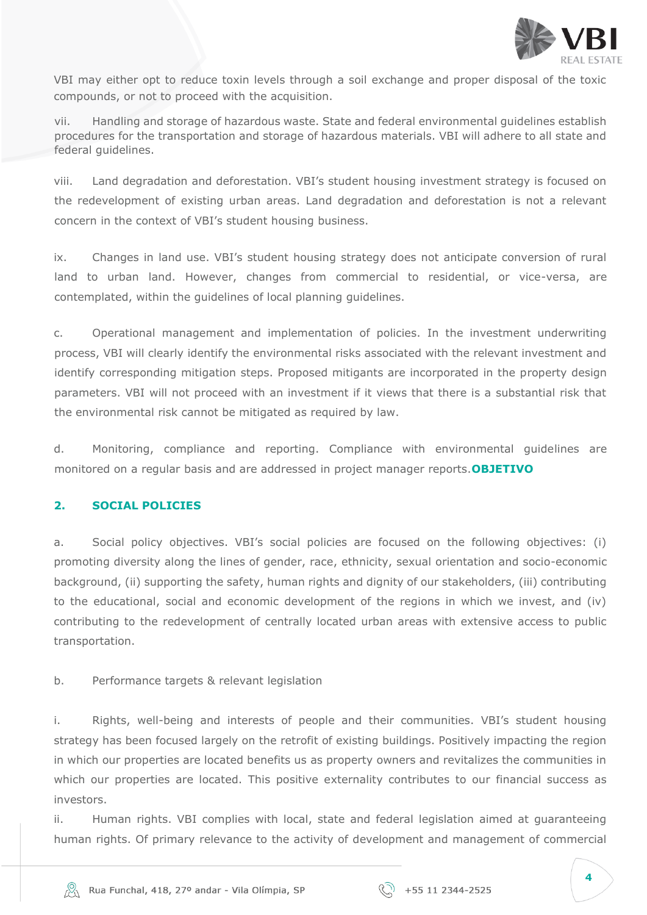

VBI may either opt to reduce toxin levels through a soil exchange and proper disposal of the toxic compounds, or not to proceed with the acquisition.

vii. Handling and storage of hazardous waste. State and federal environmental guidelines establish procedures for the transportation and storage of hazardous materials. VBI will adhere to all state and federal guidelines.

viii. Land degradation and deforestation. VBI's student housing investment strategy is focused on the redevelopment of existing urban areas. Land degradation and deforestation is not a relevant concern in the context of VBI's student housing business.

ix. Changes in land use. VBI's student housing strategy does not anticipate conversion of rural land to urban land. However, changes from commercial to residential, or vice-versa, are contemplated, within the guidelines of local planning guidelines.

c. Operational management and implementation of policies. In the investment underwriting process, VBI will clearly identify the environmental risks associated with the relevant investment and identify corresponding mitigation steps. Proposed mitigants are incorporated in the property design parameters. VBI will not proceed with an investment if it views that there is a substantial risk that the environmental risk cannot be mitigated as required by law.

d. Monitoring, compliance and reporting. Compliance with environmental guidelines are monitored on a regular basis and are addressed in project manager reports.**OBJETIVO**

## <span id="page-3-0"></span>**2. SOCIAL POLICIES**

a. Social policy objectives. VBI's social policies are focused on the following objectives: (i) promoting diversity along the lines of gender, race, ethnicity, sexual orientation and socio-economic background, (ii) supporting the safety, human rights and dignity of our stakeholders, (iii) contributing to the educational, social and economic development of the regions in which we invest, and (iv) contributing to the redevelopment of centrally located urban areas with extensive access to public transportation.

#### b. Performance targets & relevant legislation

i. Rights, well-being and interests of people and their communities. VBI's student housing strategy has been focused largely on the retrofit of existing buildings. Positively impacting the region in which our properties are located benefits us as property owners and revitalizes the communities in which our properties are located. This positive externality contributes to our financial success as investors.

ii. Human rights. VBI complies with local, state and federal legislation aimed at guaranteeing human rights. Of primary relevance to the activity of development and management of commercial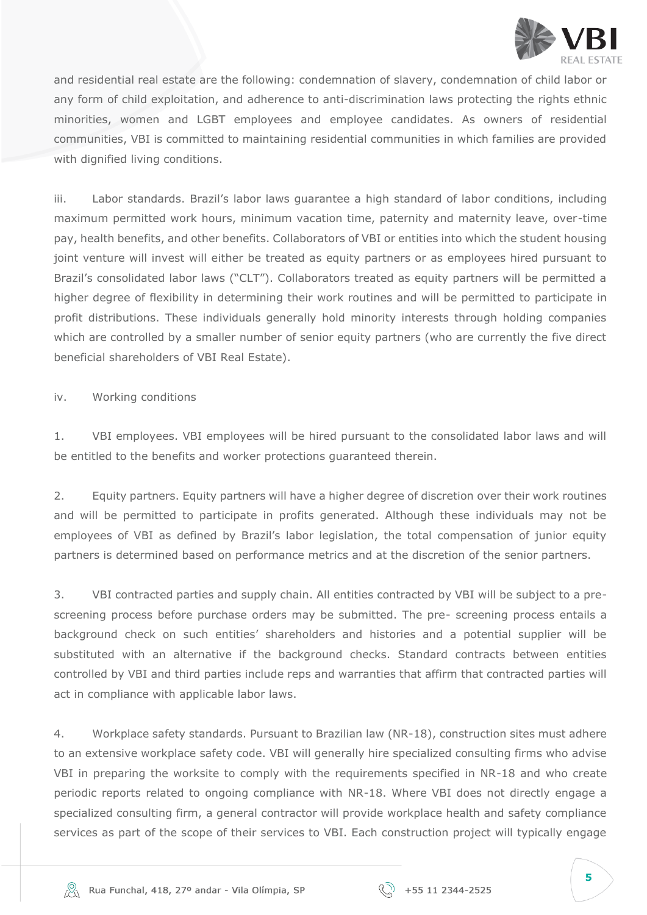

and residential real estate are the following: condemnation of slavery, condemnation of child labor or any form of child exploitation, and adherence to anti-discrimination laws protecting the rights ethnic minorities, women and LGBT employees and employee candidates. As owners of residential communities, VBI is committed to maintaining residential communities in which families are provided with dignified living conditions.

iii. Labor standards. Brazil's labor laws guarantee a high standard of labor conditions, including maximum permitted work hours, minimum vacation time, paternity and maternity leave, over-time pay, health benefits, and other benefits. Collaborators of VBI or entities into which the student housing joint venture will invest will either be treated as equity partners or as employees hired pursuant to Brazil's consolidated labor laws ("CLT"). Collaborators treated as equity partners will be permitted a higher degree of flexibility in determining their work routines and will be permitted to participate in profit distributions. These individuals generally hold minority interests through holding companies which are controlled by a smaller number of senior equity partners (who are currently the five direct beneficial shareholders of VBI Real Estate).

iv. Working conditions

1. VBI employees. VBI employees will be hired pursuant to the consolidated labor laws and will be entitled to the benefits and worker protections guaranteed therein.

2. Equity partners. Equity partners will have a higher degree of discretion over their work routines and will be permitted to participate in profits generated. Although these individuals may not be employees of VBI as defined by Brazil's labor legislation, the total compensation of junior equity partners is determined based on performance metrics and at the discretion of the senior partners.

3. VBI contracted parties and supply chain. All entities contracted by VBI will be subject to a prescreening process before purchase orders may be submitted. The pre- screening process entails a background check on such entities' shareholders and histories and a potential supplier will be substituted with an alternative if the background checks. Standard contracts between entities controlled by VBI and third parties include reps and warranties that affirm that contracted parties will act in compliance with applicable labor laws.

4. Workplace safety standards. Pursuant to Brazilian law (NR-18), construction sites must adhere to an extensive workplace safety code. VBI will generally hire specialized consulting firms who advise VBI in preparing the worksite to comply with the requirements specified in NR-18 and who create periodic reports related to ongoing compliance with NR-18. Where VBI does not directly engage a specialized consulting firm, a general contractor will provide workplace health and safety compliance services as part of the scope of their services to VBI. Each construction project will typically engage

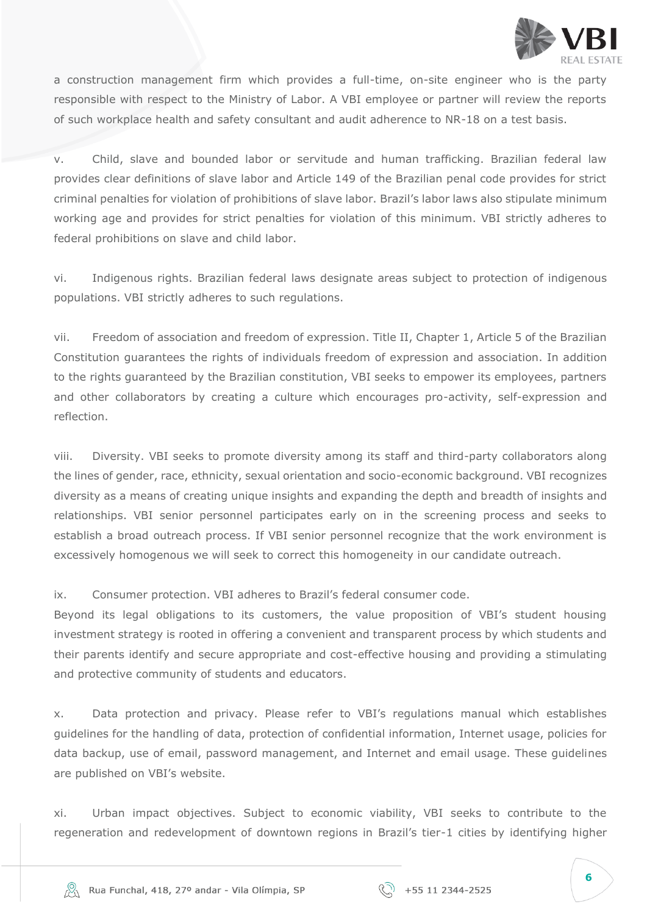

a construction management firm which provides a full-time, on-site engineer who is the party responsible with respect to the Ministry of Labor. A VBI employee or partner will review the reports of such workplace health and safety consultant and audit adherence to NR-18 on a test basis.

v. Child, slave and bounded labor or servitude and human trafficking. Brazilian federal law provides clear definitions of slave labor and Article 149 of the Brazilian penal code provides for strict criminal penalties for violation of prohibitions of slave labor. Brazil's labor laws also stipulate minimum working age and provides for strict penalties for violation of this minimum. VBI strictly adheres to federal prohibitions on slave and child labor.

vi. Indigenous rights. Brazilian federal laws designate areas subject to protection of indigenous populations. VBI strictly adheres to such regulations.

vii. Freedom of association and freedom of expression. Title II, Chapter 1, Article 5 of the Brazilian Constitution guarantees the rights of individuals freedom of expression and association. In addition to the rights guaranteed by the Brazilian constitution, VBI seeks to empower its employees, partners and other collaborators by creating a culture which encourages pro-activity, self-expression and reflection.

viii. Diversity. VBI seeks to promote diversity among its staff and third-party collaborators along the lines of gender, race, ethnicity, sexual orientation and socio-economic background. VBI recognizes diversity as a means of creating unique insights and expanding the depth and breadth of insights and relationships. VBI senior personnel participates early on in the screening process and seeks to establish a broad outreach process. If VBI senior personnel recognize that the work environment is excessively homogenous we will seek to correct this homogeneity in our candidate outreach.

ix. Consumer protection. VBI adheres to Brazil's federal consumer code.

Beyond its legal obligations to its customers, the value proposition of VBI's student housing investment strategy is rooted in offering a convenient and transparent process by which students and their parents identify and secure appropriate and cost-effective housing and providing a stimulating and protective community of students and educators.

x. Data protection and privacy. Please refer to VBI's regulations manual which establishes guidelines for the handling of data, protection of confidential information, Internet usage, policies for data backup, use of email, password management, and Internet and email usage. These guidelines are published on VBI's website.

xi. Urban impact objectives. Subject to economic viability, VBI seeks to contribute to the regeneration and redevelopment of downtown regions in Brazil's tier-1 cities by identifying higher



**6**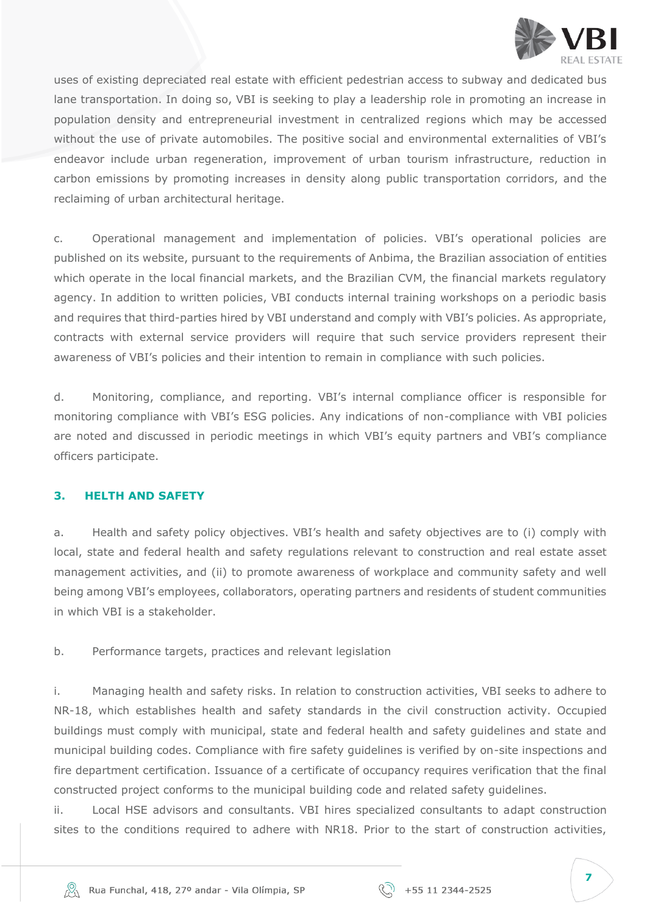

uses of existing depreciated real estate with efficient pedestrian access to subway and dedicated bus lane transportation. In doing so, VBI is seeking to play a leadership role in promoting an increase in population density and entrepreneurial investment in centralized regions which may be accessed without the use of private automobiles. The positive social and environmental externalities of VBI's endeavor include urban regeneration, improvement of urban tourism infrastructure, reduction in carbon emissions by promoting increases in density along public transportation corridors, and the reclaiming of urban architectural heritage.

c. Operational management and implementation of policies. VBI's operational policies are published on its website, pursuant to the requirements of Anbima, the Brazilian association of entities which operate in the local financial markets, and the Brazilian CVM, the financial markets regulatory agency. In addition to written policies, VBI conducts internal training workshops on a periodic basis and requires that third-parties hired by VBI understand and comply with VBI's policies. As appropriate, contracts with external service providers will require that such service providers represent their awareness of VBI's policies and their intention to remain in compliance with such policies.

d. Monitoring, compliance, and reporting. VBI's internal compliance officer is responsible for monitoring compliance with VBI's ESG policies. Any indications of non-compliance with VBI policies are noted and discussed in periodic meetings in which VBI's equity partners and VBI's compliance officers participate.

#### <span id="page-6-0"></span>**3. HELTH AND SAFETY**

a. Health and safety policy objectives. VBI's health and safety objectives are to (i) comply with local, state and federal health and safety regulations relevant to construction and real estate asset management activities, and (ii) to promote awareness of workplace and community safety and well being among VBI's employees, collaborators, operating partners and residents of student communities in which VBI is a stakeholder.

b. Performance targets, practices and relevant legislation

i. Managing health and safety risks. In relation to construction activities, VBI seeks to adhere to NR-18, which establishes health and safety standards in the civil construction activity. Occupied buildings must comply with municipal, state and federal health and safety guidelines and state and municipal building codes. Compliance with fire safety guidelines is verified by on-site inspections and fire department certification. Issuance of a certificate of occupancy requires verification that the final constructed project conforms to the municipal building code and related safety guidelines.

ii. Local HSE advisors and consultants. VBI hires specialized consultants to adapt construction sites to the conditions required to adhere with NR18. Prior to the start of construction activities,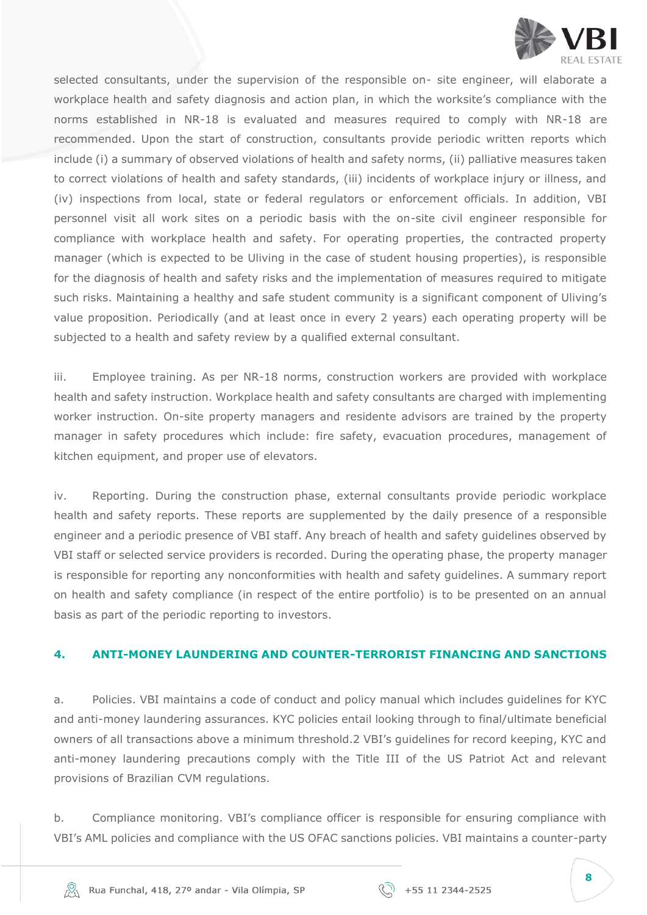

selected consultants, under the supervision of the responsible on- site engineer, will elaborate a workplace health and safety diagnosis and action plan, in which the worksite's compliance with the norms established in NR-18 is evaluated and measures required to comply with NR-18 are recommended. Upon the start of construction, consultants provide periodic written reports which include (i) a summary of observed violations of health and safety norms, (ii) palliative measures taken to correct violations of health and safety standards, (iii) incidents of workplace injury or illness, and (iv) inspections from local, state or federal regulators or enforcement officials. In addition, VBI personnel visit all work sites on a periodic basis with the on-site civil engineer responsible for compliance with workplace health and safety. For operating properties, the contracted property manager (which is expected to be Uliving in the case of student housing properties), is responsible for the diagnosis of health and safety risks and the implementation of measures required to mitigate such risks. Maintaining a healthy and safe student community is a significant component of Uliving's value proposition. Periodically (and at least once in every 2 years) each operating property will be subjected to a health and safety review by a qualified external consultant.

iii. Employee training. As per NR-18 norms, construction workers are provided with workplace health and safety instruction. Workplace health and safety consultants are charged with implementing worker instruction. On-site property managers and residente advisors are trained by the property manager in safety procedures which include: fire safety, evacuation procedures, management of kitchen equipment, and proper use of elevators.

iv. Reporting. During the construction phase, external consultants provide periodic workplace health and safety reports. These reports are supplemented by the daily presence of a responsible engineer and a periodic presence of VBI staff. Any breach of health and safety guidelines observed by VBI staff or selected service providers is recorded. During the operating phase, the property manager is responsible for reporting any nonconformities with health and safety guidelines. A summary report on health and safety compliance (in respect of the entire portfolio) is to be presented on an annual basis as part of the periodic reporting to investors.

#### <span id="page-7-0"></span>**4. ANTI-MONEY LAUNDERING AND COUNTER-TERRORIST FINANCING AND SANCTIONS**

a. Policies. VBI maintains a code of conduct and policy manual which includes guidelines for KYC and anti-money laundering assurances. KYC policies entail looking through to final/ultimate beneficial owners of all transactions above a minimum threshold.2 VBI's guidelines for record keeping, KYC and anti-money laundering precautions comply with the Title III of the US Patriot Act and relevant provisions of Brazilian CVM regulations.

b. Compliance monitoring. VBI's compliance officer is responsible for ensuring compliance with VBI's AML policies and compliance with the US OFAC sanctions policies. VBI maintains a counter-party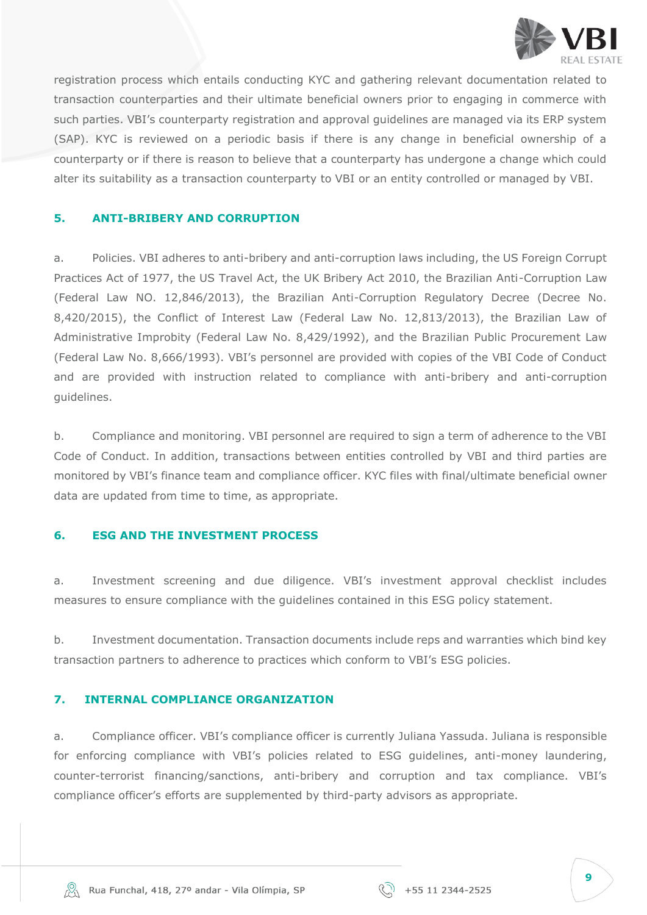

registration process which entails conducting KYC and gathering relevant documentation related to transaction counterparties and their ultimate beneficial owners prior to engaging in commerce with such parties. VBI's counterparty registration and approval guidelines are managed via its ERP system (SAP). KYC is reviewed on a periodic basis if there is any change in beneficial ownership of a counterparty or if there is reason to believe that a counterparty has undergone a change which could alter its suitability as a transaction counterparty to VBI or an entity controlled or managed by VBI.

### <span id="page-8-0"></span>**5. ANTI-BRIBERY AND CORRUPTION**

a. Policies. VBI adheres to anti-bribery and anti-corruption laws including, the US Foreign Corrupt Practices Act of 1977, the US Travel Act, the UK Bribery Act 2010, the Brazilian Anti-Corruption Law (Federal Law NO. 12,846/2013), the Brazilian Anti-Corruption Regulatory Decree (Decree No. 8,420/2015), the Conflict of Interest Law (Federal Law No. 12,813/2013), the Brazilian Law of Administrative Improbity (Federal Law No. 8,429/1992), and the Brazilian Public Procurement Law (Federal Law No. 8,666/1993). VBI's personnel are provided with copies of the VBI Code of Conduct and are provided with instruction related to compliance with anti-bribery and anti-corruption guidelines.

b. Compliance and monitoring. VBI personnel are required to sign a term of adherence to the VBI Code of Conduct. In addition, transactions between entities controlled by VBI and third parties are monitored by VBI's finance team and compliance officer. KYC files with final/ultimate beneficial owner data are updated from time to time, as appropriate.

#### <span id="page-8-1"></span>**6. ESG AND THE INVESTMENT PROCESS**

a. Investment screening and due diligence. VBI's investment approval checklist includes measures to ensure compliance with the guidelines contained in this ESG policy statement.

b. Investment documentation. Transaction documents include reps and warranties which bind key transaction partners to adherence to practices which conform to VBI's ESG policies.

#### <span id="page-8-2"></span>**7. INTERNAL COMPLIANCE ORGANIZATION**

a. Compliance officer. VBI's compliance officer is currently Juliana Yassuda. Juliana is responsible for enforcing compliance with VBI's policies related to ESG guidelines, anti-money laundering, counter-terrorist financing/sanctions, anti-bribery and corruption and tax compliance. VBI's compliance officer's efforts are supplemented by third-party advisors as appropriate.

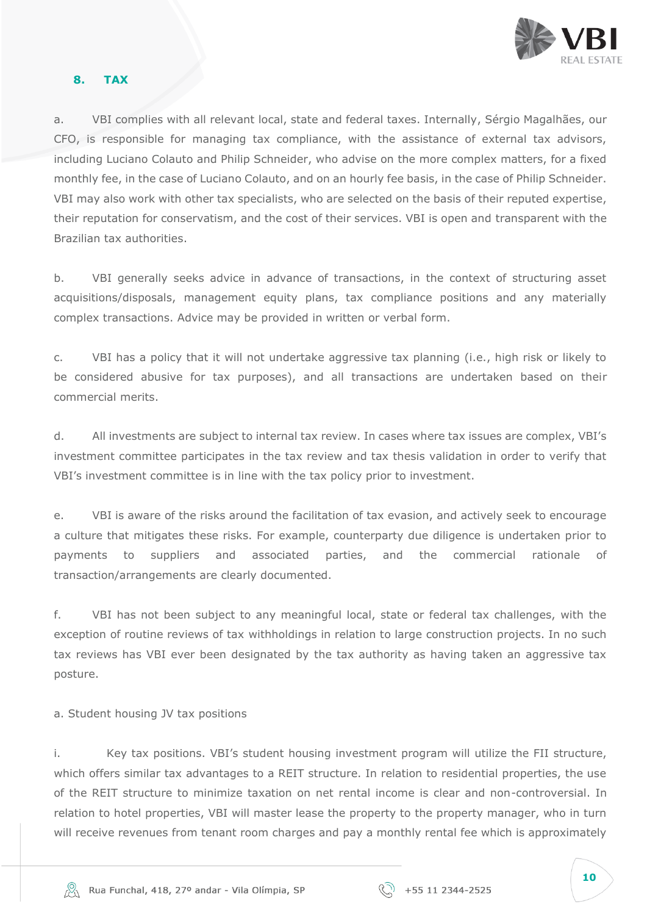

#### <span id="page-9-0"></span>**8. TAX**

a. VBI complies with all relevant local, state and federal taxes. Internally, Sérgio Magalhães, our CFO, is responsible for managing tax compliance, with the assistance of external tax advisors, including Luciano Colauto and Philip Schneider, who advise on the more complex matters, for a fixed monthly fee, in the case of Luciano Colauto, and on an hourly fee basis, in the case of Philip Schneider. VBI may also work with other tax specialists, who are selected on the basis of their reputed expertise, their reputation for conservatism, and the cost of their services. VBI is open and transparent with the Brazilian tax authorities.

b. VBI generally seeks advice in advance of transactions, in the context of structuring asset acquisitions/disposals, management equity plans, tax compliance positions and any materially complex transactions. Advice may be provided in written or verbal form.

c. VBI has a policy that it will not undertake aggressive tax planning (i.e., high risk or likely to be considered abusive for tax purposes), and all transactions are undertaken based on their commercial merits.

d. All investments are subject to internal tax review. In cases where tax issues are complex, VBI's investment committee participates in the tax review and tax thesis validation in order to verify that VBI's investment committee is in line with the tax policy prior to investment.

e. VBI is aware of the risks around the facilitation of tax evasion, and actively seek to encourage a culture that mitigates these risks. For example, counterparty due diligence is undertaken prior to payments to suppliers and associated parties, and the commercial rationale of transaction/arrangements are clearly documented.

f. VBI has not been subject to any meaningful local, state or federal tax challenges, with the exception of routine reviews of tax withholdings in relation to large construction projects. In no such tax reviews has VBI ever been designated by the tax authority as having taken an aggressive tax posture.

a. Student housing JV tax positions

i. Key tax positions. VBI's student housing investment program will utilize the FII structure, which offers similar tax advantages to a REIT structure. In relation to residential properties, the use of the REIT structure to minimize taxation on net rental income is clear and non-controversial. In relation to hotel properties, VBI will master lease the property to the property manager, who in turn will receive revenues from tenant room charges and pay a monthly rental fee which is approximately